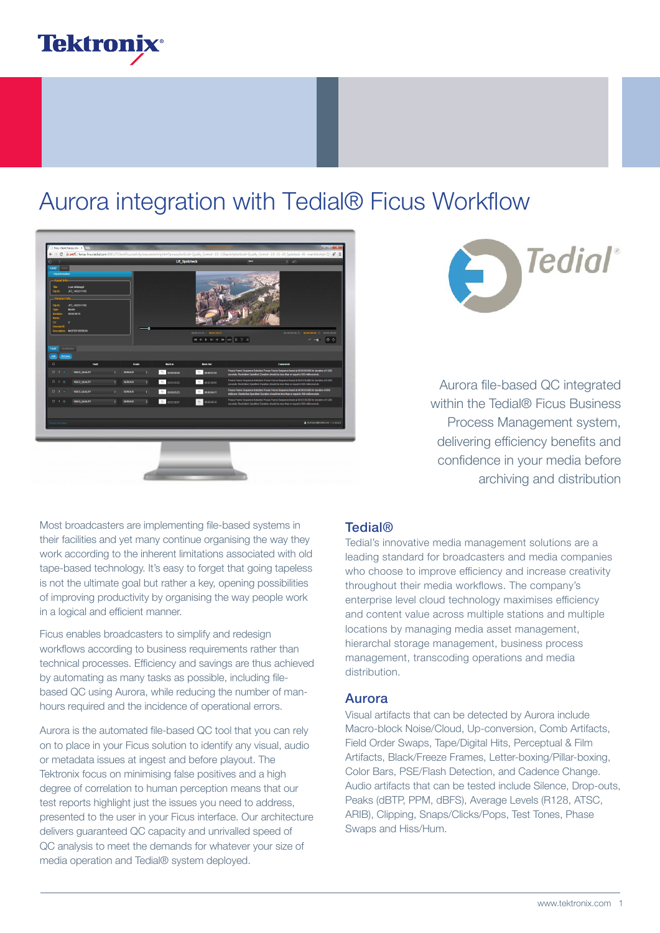

## Aurora integration with Tedial® Ficus Workflow





Aurora file-based QC integrated within the Tedial<sup>®</sup> Ficus Business Process Management system, delivering efficiency benefits and confidence in your media before archiving and distribution

Most broadcasters are implementing file-based systems in their facilities and yet many continue organising the way they work according to the inherent limitations associated with old tape-based technology. It's easy to forget that going tapeless is not the ultimate goal but rather a key, opening possibilities of improving productivity by organising the way people work in a logical and efficient manner.

Ficus enables broadcasters to simplify and redesign workflows according to business requirements rather than technical processes. Efficiency and savings are thus achieved by automating as many tasks as possible, including filebased QC using Aurora, while reducing the number of manhours required and the incidence of operational errors.

Aurora is the automated file-based QC tool that you can rely on to place in your Ficus solution to identify any visual, audio or metadata issues at ingest and before playout. The Tektronix focus on minimising false positives and a high degree of correlation to human perception means that our test reports highlight just the issues you need to address, presented to the user in your Ficus interface. Our architecture delivers guaranteed QC capacity and unrivalled speed of QC analysis to meet the demands for whatever your size of media operation and Tedial® system deployed.

### Tedial®

Tedial's innovative media management solutions are a leading standard for broadcasters and media companies who choose to improve efficiency and increase creativity throughout their media workflows. The company's enterprise level cloud technology maximises efficiency and content value across multiple stations and multiple locations by managing media asset management, hierarchal storage management, business process management, transcoding operations and media distribution.

### Aurora

Visual artifacts that can be detected by Aurora include Macro-block Noise/Cloud, Up-conversion, Comb Artifacts, Field Order Swaps, Tape/Digital Hits, Perceptual & Film Artifacts, Black/Freeze Frames, Letter-boxing/Pillar-boxing, Color Bars, PSE/Flash Detection, and Cadence Change. Audio artifacts that can be tested include Silence, Drop-outs, Peaks (dBTP, PPM, dBFS), Average Levels (R128, ATSC, ARIB), Clipping, Snaps/Clicks/Pops, Test Tones, Phase Swaps and Hiss/Hum.